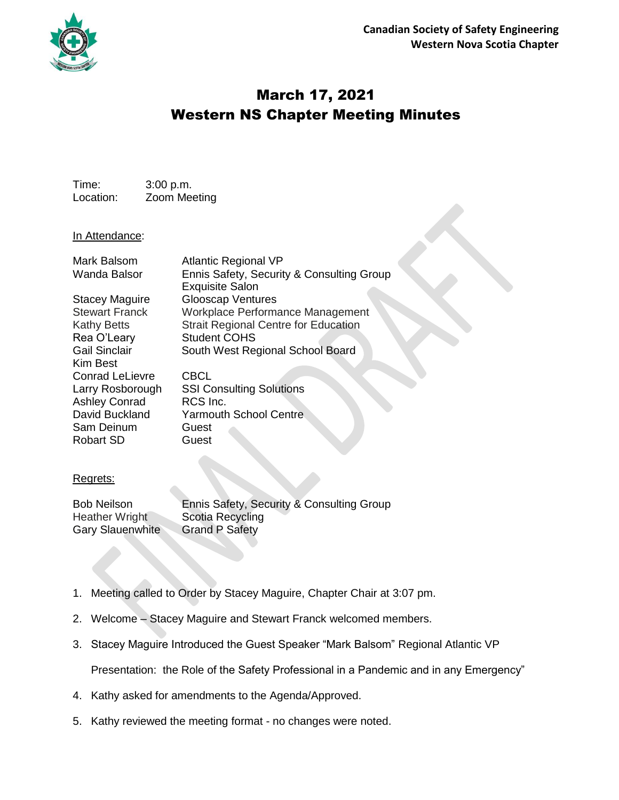

## March 17, 2021 Western NS Chapter Meeting Minutes

Time: 3:00 p.m. Location: Zoom Meeting

## In Attendance:

| Mark Balsom<br>Wanda Balsor | <b>Atlantic Regional VP</b><br>Ennis Safety, Security & Consulting Group<br><b>Exquisite Salon</b> |
|-----------------------------|----------------------------------------------------------------------------------------------------|
| Stacey Maguire              | <b>Glooscap Ventures</b>                                                                           |
| <b>Stewart Franck</b>       | Workplace Performance Management                                                                   |
| <b>Kathy Betts</b>          | <b>Strait Regional Centre for Education</b>                                                        |
| Rea O'Leary                 | <b>Student COHS</b>                                                                                |
| <b>Gail Sinclair</b>        | South West Regional School Board                                                                   |
| Kim Best                    |                                                                                                    |
| <b>Conrad LeLievre</b>      | <b>CBCL</b>                                                                                        |
| Larry Rosborough            | <b>SSI Consulting Solutions</b>                                                                    |
| <b>Ashley Conrad</b>        | RCS Inc.                                                                                           |
| David Buckland              | <b>Yarmouth School Centre</b>                                                                      |
| Sam Deinum                  | Guest                                                                                              |
| Robart SD                   | Guest                                                                                              |
|                             |                                                                                                    |

## Regrets:

Bob Neilson Ennis Safety, Security & Consulting Group<br>Heather Wright Scotia Recycling Scotia Recycling Gary Slauenwhite Grand P Safety

- 1. Meeting called to Order by Stacey Maguire, Chapter Chair at 3:07 pm.
- 2. Welcome Stacey Maguire and Stewart Franck welcomed members.
- 3. Stacey Maguire Introduced the Guest Speaker "Mark Balsom" Regional Atlantic VP

Presentation: the Role of the Safety Professional in a Pandemic and in any Emergency"

- 4. Kathy asked for amendments to the Agenda/Approved.
- 5. Kathy reviewed the meeting format no changes were noted.